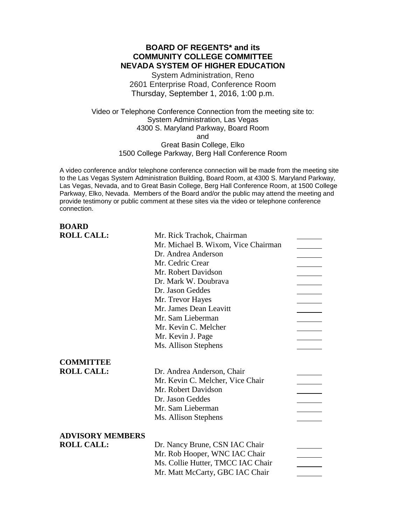# **BOARD OF REGENTS\* and its COMMUNITY COLLEGE COMMITTEE NEVADA SYSTEM OF HIGHER EDUCATION**

System Administration, Reno 2601 Enterprise Road, Conference Room Thursday, September 1, 2016, 1:00 p.m.

Video or Telephone Conference Connection from the meeting site to: System Administration, Las Vegas 4300 S. Maryland Parkway, Board Room and Great Basin College, Elko 1500 College Parkway, Berg Hall Conference Room

A video conference and/or telephone conference connection will be made from the meeting site to the Las Vegas System Administration Building, Board Room, at 4300 S. Maryland Parkway, Las Vegas, Nevada, and to Great Basin College, Berg Hall Conference Room, at 1500 College Parkway, Elko, Nevada. Members of the Board and/or the public may attend the meeting and provide testimony or public comment at these sites via the video or telephone conference connection.

# **BOARD**

| <b>ROLL CALL:</b>       | Mr. Rick Trachok, Chairman          |  |
|-------------------------|-------------------------------------|--|
|                         | Mr. Michael B. Wixom, Vice Chairman |  |
|                         | Dr. Andrea Anderson                 |  |
|                         | Mr. Cedric Crear                    |  |
|                         | Mr. Robert Davidson                 |  |
|                         | Dr. Mark W. Doubrava                |  |
|                         | Dr. Jason Geddes                    |  |
|                         | Mr. Trevor Hayes                    |  |
|                         | Mr. James Dean Leavitt              |  |
|                         | Mr. Sam Lieberman                   |  |
|                         | Mr. Kevin C. Melcher                |  |
|                         | Mr. Kevin J. Page                   |  |
|                         | Ms. Allison Stephens                |  |
| <b>COMMITTEE</b>        |                                     |  |
| <b>ROLL CALL:</b>       | Dr. Andrea Anderson, Chair          |  |
|                         | Mr. Kevin C. Melcher, Vice Chair    |  |
|                         | Mr. Robert Davidson                 |  |
|                         | Dr. Jason Geddes                    |  |
|                         | Mr. Sam Lieberman                   |  |
|                         |                                     |  |
|                         | Ms. Allison Stephens                |  |
| <b>ADVISORY MEMBERS</b> |                                     |  |
| <b>ROLL CALL:</b>       | Dr. Nancy Brune, CSN IAC Chair      |  |
|                         | Mr. Rob Hooper, WNC IAC Chair       |  |
|                         | Ms. Collie Hutter, TMCC IAC Chair   |  |
|                         | Mr. Matt McCarty, GBC IAC Chair     |  |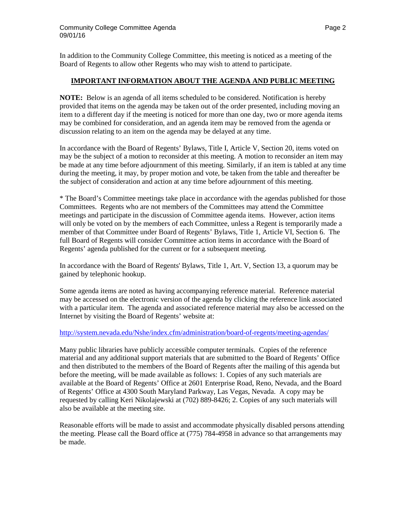In addition to the Community College Committee, this meeting is noticed as a meeting of the Board of Regents to allow other Regents who may wish to attend to participate.

#### **IMPORTANT INFORMATION ABOUT THE AGENDA AND PUBLIC MEETING**

**NOTE:** Below is an agenda of all items scheduled to be considered. Notification is hereby provided that items on the agenda may be taken out of the order presented, including moving an item to a different day if the meeting is noticed for more than one day, two or more agenda items may be combined for consideration, and an agenda item may be removed from the agenda or discussion relating to an item on the agenda may be delayed at any time.

In accordance with the Board of Regents' Bylaws, Title I, Article V, Section 20, items voted on may be the subject of a motion to reconsider at this meeting. A motion to reconsider an item may be made at any time before adjournment of this meeting. Similarly, if an item is tabled at any time during the meeting, it may, by proper motion and vote, be taken from the table and thereafter be the subject of consideration and action at any time before adjournment of this meeting.

\* The Board's Committee meetings take place in accordance with the agendas published for those Committees. Regents who are not members of the Committees may attend the Committee meetings and participate in the discussion of Committee agenda items. However, action items will only be voted on by the members of each Committee, unless a Regent is temporarily made a member of that Committee under Board of Regents' Bylaws, Title 1, Article VI, Section 6. The full Board of Regents will consider Committee action items in accordance with the Board of Regents' agenda published for the current or for a subsequent meeting.

In accordance with the Board of Regents' Bylaws, Title 1, Art. V, Section 13, a quorum may be gained by telephonic hookup.

Some agenda items are noted as having accompanying reference material. Reference material may be accessed on the electronic version of the agenda by clicking the reference link associated with a particular item. The agenda and associated reference material may also be accessed on the Internet by visiting the Board of Regents' website at:

#### <http://system.nevada.edu/Nshe/index.cfm/administration/board-of-regents/meeting-agendas/>

Many public libraries have publicly accessible computer terminals. Copies of the reference material and any additional support materials that are submitted to the Board of Regents' Office and then distributed to the members of the Board of Regents after the mailing of this agenda but before the meeting, will be made available as follows: 1. Copies of any such materials are available at the Board of Regents' Office at 2601 Enterprise Road, Reno, Nevada, and the Board of Regents' Office at 4300 South Maryland Parkway, Las Vegas, Nevada. A copy may be requested by calling Keri Nikolajewski at (702) 889-8426; 2. Copies of any such materials will also be available at the meeting site.

Reasonable efforts will be made to assist and accommodate physically disabled persons attending the meeting. Please call the Board office at (775) 784-4958 in advance so that arrangements may be made.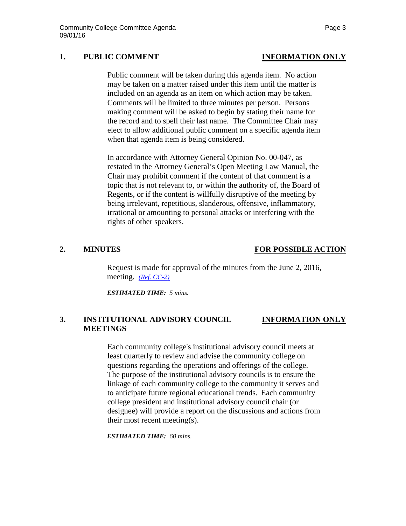### **1. PUBLIC COMMENT INFORMATION ONLY**

Public comment will be taken during this agenda item. No action may be taken on a matter raised under this item until the matter is included on an agenda as an item on which action may be taken. Comments will be limited to three minutes per person. Persons making comment will be asked to begin by stating their name for the record and to spell their last name. The Committee Chair may elect to allow additional public comment on a specific agenda item when that agenda item is being considered.

In accordance with Attorney General Opinion No. 00-047, as restated in the Attorney General's Open Meeting Law Manual, the Chair may prohibit comment if the content of that comment is a topic that is not relevant to, or within the authority of, the Board of Regents, or if the content is willfully disruptive of the meeting by being irrelevant, repetitious, slanderous, offensive, inflammatory, irrational or amounting to personal attacks or interfering with the rights of other speakers.

#### **2. MINUTES FOR POSSIBLE ACTION**

Request is made for approval of the minutes from the June 2, 2016, meeting. *[\(Ref. CC-2\)](http://system.nevada.edu/tasks/sites/Nshe/assets/File/BoardOfRegents/Agendas/2016/sept-mtgs/cc-refs/CC-2.pdf)*

*ESTIMATED TIME: 5 mins.*

### **3. INSTITUTIONAL ADVISORY COUNCIL INFORMATION ONLY MEETINGS**

Each community college's institutional advisory council meets at least quarterly to review and advise the community college on questions regarding the operations and offerings of the college. The purpose of the institutional advisory councils is to ensure the linkage of each community college to the community it serves and to anticipate future regional educational trends. Each community college president and institutional advisory council chair (or designee) will provide a report on the discussions and actions from their most recent meeting(s).

*ESTIMATED TIME: 60 mins.*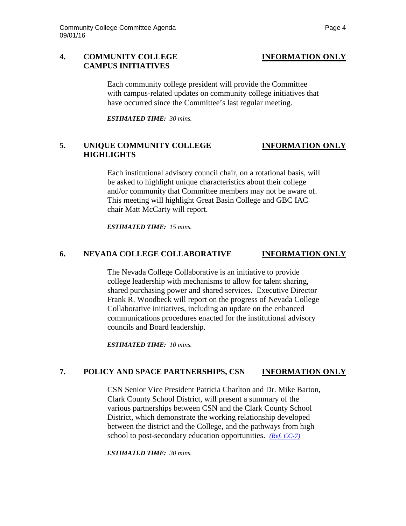### **4. COMMUNITY COLLEGE INFORMATION ONLY CAMPUS INITIATIVES**

Each community college president will provide the Committee with campus-related updates on community college initiatives that have occurred since the Committee's last regular meeting.

*ESTIMATED TIME: 30 mins.*

## **5. UNIQUE COMMUNITY COLLEGE INFORMATION ONLY HIGHLIGHTS**

Each institutional advisory council chair, on a rotational basis, will be asked to highlight unique characteristics about their college and/or community that Committee members may not be aware of. This meeting will highlight Great Basin College and GBC IAC chair Matt McCarty will report.

*ESTIMATED TIME: 15 mins.*

#### **6. NEVADA COLLEGE COLLABORATIVE INFORMATION ONLY**

The Nevada College Collaborative is an initiative to provide college leadership with mechanisms to allow for talent sharing, shared purchasing power and shared services. Executive Director Frank R. Woodbeck will report on the progress of Nevada College Collaborative initiatives, including an update on the enhanced communications procedures enacted for the institutional advisory councils and Board leadership.

*ESTIMATED TIME: 10 mins.*

### **7. POLICY AND SPACE PARTNERSHIPS, CSN INFORMATION ONLY**

CSN Senior Vice President Patricia Charlton and Dr. Mike Barton, Clark County School District, will present a summary of the various partnerships between CSN and the Clark County School District, which demonstrate the working relationship developed between the district and the College, and the pathways from high school to post-secondary education opportunities. *[\(Ref. CC-7\)](http://system.nevada.edu/tasks/sites/Nshe/assets/File/BoardOfRegents/Agendas/2016/sept-mtgs/cc-refs/CC-7.pdf)*

*ESTIMATED TIME: 30 mins.*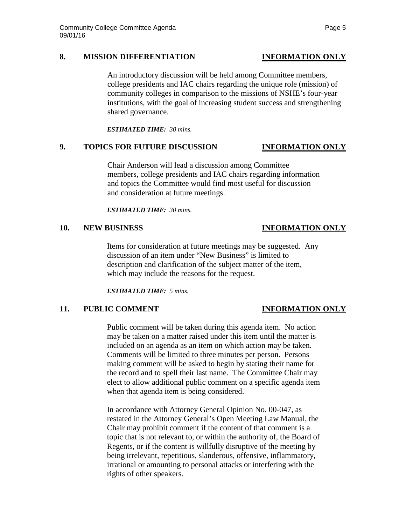#### **8. MISSION DIFFERENTIATION INFORMATION ONLY**

An introductory discussion will be held among Committee members, college presidents and IAC chairs regarding the unique role (mission) of community colleges in comparison to the missions of NSHE's four-year institutions, with the goal of increasing student success and strengthening shared governance.

*ESTIMATED TIME: 30 mins.*

# **9. TOPICS FOR FUTURE DISCUSSION INFORMATION ONLY**

Chair Anderson will lead a discussion among Committee members, college presidents and IAC chairs regarding information and topics the Committee would find most useful for discussion and consideration at future meetings.

*ESTIMATED TIME: 30 mins.*

#### **10. NEW BUSINESS INFORMATION ONLY**

Items for consideration at future meetings may be suggested. Any discussion of an item under "New Business" is limited to description and clarification of the subject matter of the item, which may include the reasons for the request.

*ESTIMATED TIME: 5 mins.*

# **11. PUBLIC COMMENT INFORMATION ONLY**

Public comment will be taken during this agenda item. No action may be taken on a matter raised under this item until the matter is included on an agenda as an item on which action may be taken. Comments will be limited to three minutes per person. Persons making comment will be asked to begin by stating their name for the record and to spell their last name. The Committee Chair may elect to allow additional public comment on a specific agenda item when that agenda item is being considered.

In accordance with Attorney General Opinion No. 00-047, as restated in the Attorney General's Open Meeting Law Manual, the Chair may prohibit comment if the content of that comment is a topic that is not relevant to, or within the authority of, the Board of Regents, or if the content is willfully disruptive of the meeting by being irrelevant, repetitious, slanderous, offensive, inflammatory, irrational or amounting to personal attacks or interfering with the rights of other speakers.